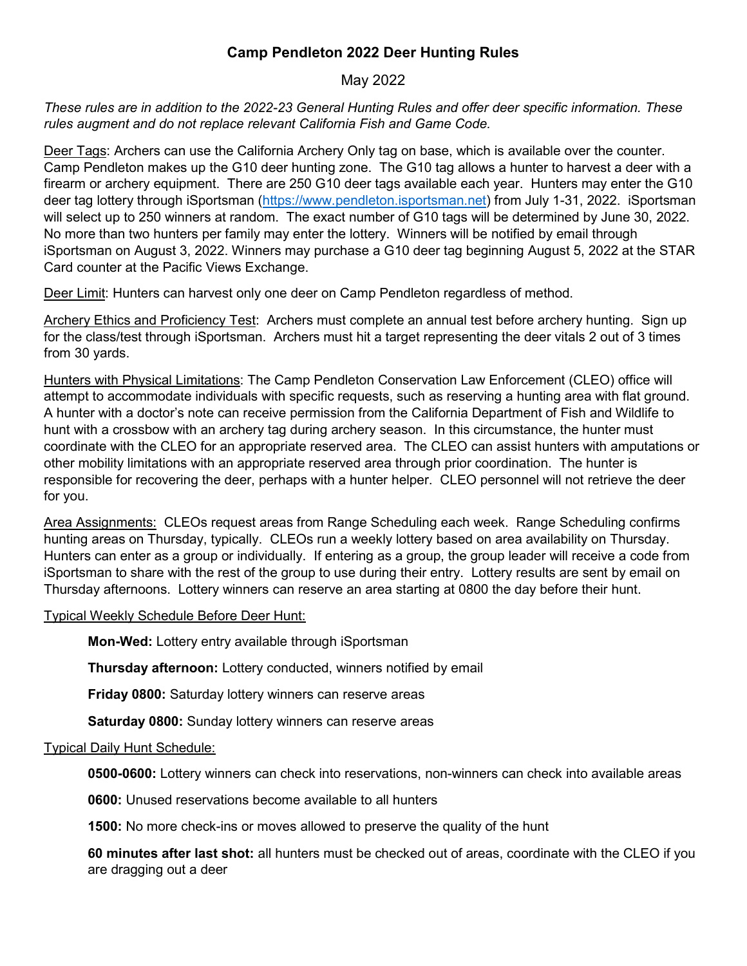## **Camp Pendleton 2022 Deer Hunting Rules**

## May 2022

*These rules are in addition to the 2022-23 General Hunting Rules and offer deer specific information. These rules augment and do not replace relevant California Fish and Game Code.* 

Deer Tags: Archers can use the California Archery Only tag on base, which is available over the counter. Camp Pendleton makes up the G10 deer hunting zone. The G10 tag allows a hunter to harvest a deer with a firearm or archery equipment. There are 250 G10 deer tags available each year. Hunters may enter the G10 deer tag lottery through iSportsman [\(https://www.pendleton.isportsman.net\)](https://www.pendleton.isportsman.net/) from July 1-31, 2022. iSportsman will select up to 250 winners at random. The exact number of G10 tags will be determined by June 30, 2022. No more than two hunters per family may enter the lottery. Winners will be notified by email through iSportsman on August 3, 2022. Winners may purchase a G10 deer tag beginning August 5, 2022 at the STAR Card counter at the Pacific Views Exchange.

Deer Limit: Hunters can harvest only one deer on Camp Pendleton regardless of method.

Archery Ethics and Proficiency Test: Archers must complete an annual test before archery hunting. Sign up for the class/test through iSportsman. Archers must hit a target representing the deer vitals 2 out of 3 times from 30 yards.

Hunters with Physical Limitations: The Camp Pendleton Conservation Law Enforcement (CLEO) office will attempt to accommodate individuals with specific requests, such as reserving a hunting area with flat ground. A hunter with a doctor's note can receive permission from the California Department of Fish and Wildlife to hunt with a crossbow with an archery tag during archery season. In this circumstance, the hunter must coordinate with the CLEO for an appropriate reserved area. The CLEO can assist hunters with amputations or other mobility limitations with an appropriate reserved area through prior coordination. The hunter is responsible for recovering the deer, perhaps with a hunter helper. CLEO personnel will not retrieve the deer for you.

Area Assignments: CLEOs request areas from Range Scheduling each week. Range Scheduling confirms hunting areas on Thursday, typically. CLEOs run a weekly lottery based on area availability on Thursday. Hunters can enter as a group or individually. If entering as a group, the group leader will receive a code from iSportsman to share with the rest of the group to use during their entry. Lottery results are sent by email on Thursday afternoons. Lottery winners can reserve an area starting at 0800 the day before their hunt.

## Typical Weekly Schedule Before Deer Hunt:

**Mon-Wed:** Lottery entry available through iSportsman

**Thursday afternoon:** Lottery conducted, winners notified by email

**Friday 0800:** Saturday lottery winners can reserve areas

**Saturday 0800:** Sunday lottery winners can reserve areas

## Typical Daily Hunt Schedule:

**0500-0600:** Lottery winners can check into reservations, non-winners can check into available areas

**0600:** Unused reservations become available to all hunters

**1500:** No more check-ins or moves allowed to preserve the quality of the hunt

**60 minutes after last shot:** all hunters must be checked out of areas, coordinate with the CLEO if you are dragging out a deer